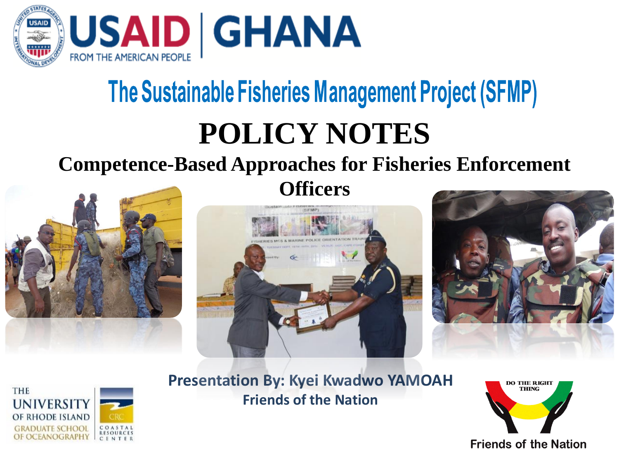

### The Sustainable Fisheries Management Project (SFMP)

### **POLICY NOTES**

#### **Competence-Based Approaches for Fisheries Enforcement**



**Officers**







**Presentation By: Kyei Kwadwo YAMOAH Friends of the Nation**

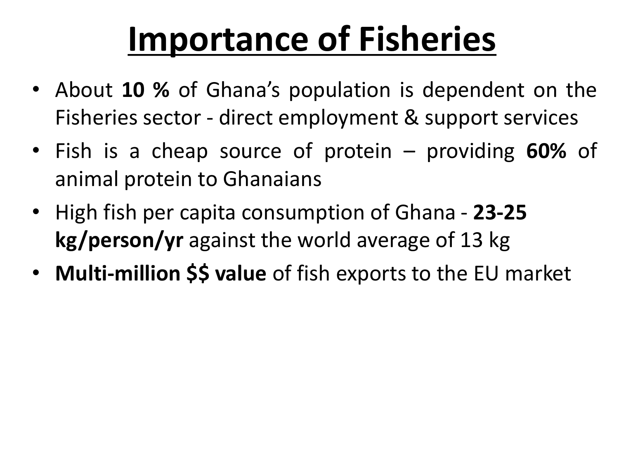# **Importance of Fisheries**

- About **10 %** of Ghana's population is dependent on the Fisheries sector - direct employment & support services
- Fish is a cheap source of protein providing **60%** of animal protein to Ghanaians
- High fish per capita consumption of Ghana **23-25 kg/person/yr** against the world average of 13 kg
- **Multi-million \$\$ value** of fish exports to the EU market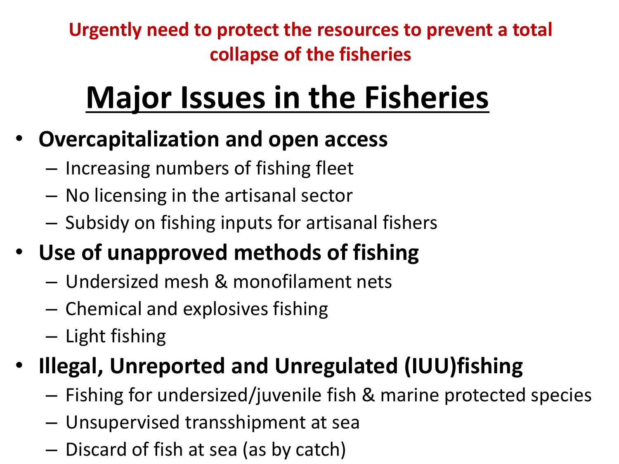**Urgently need to protect the resources to prevent a total collapse of the fisheries**

## **Major Issues in the Fisheries**

- **Overcapitalization and open access** 
	- Increasing numbers of fishing fleet
	- No licensing in the artisanal sector
	- Subsidy on fishing inputs for artisanal fishers
- **Use of unapproved methods of fishing**
	- Undersized mesh & monofilament nets
	- Chemical and explosives fishing
	- Light fishing
- **Illegal, Unreported and Unregulated (IUU)fishing**
	- Fishing for undersized/juvenile fish & marine protected species
	- Unsupervised transshipment at sea
	- Discard of fish at sea (as by catch)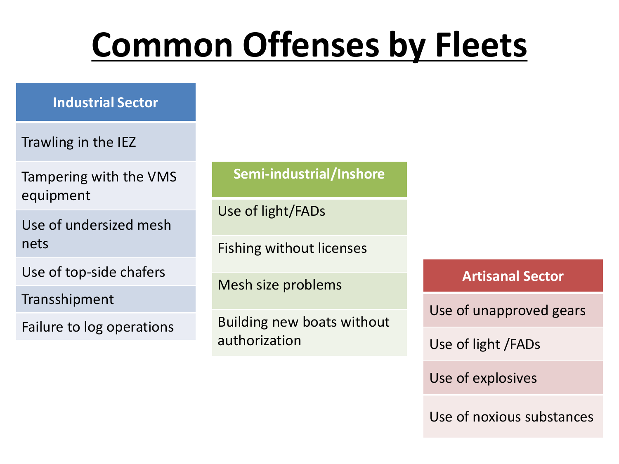# **Common Offenses by Fleets**

**Industrial Sector**

Trawling in the IEZ

Tampering with the VMS equipment

Use of undersized mesh nets

Use of top-side chafers

Transshipment

Failure to log operations

#### **Semi-industrial/Inshore**

Use of light/FADs

Fishing without licenses

Mesh size problems

Building new boats without authorization

**Artisanal Sector**

Use of unapproved gears

Use of light /FADs

Use of explosives

Use of noxious substances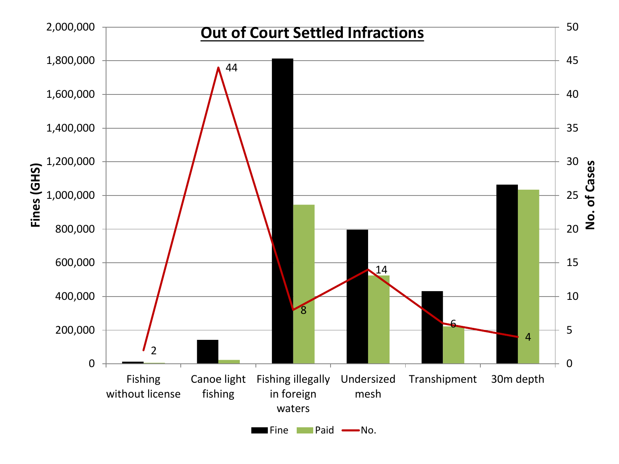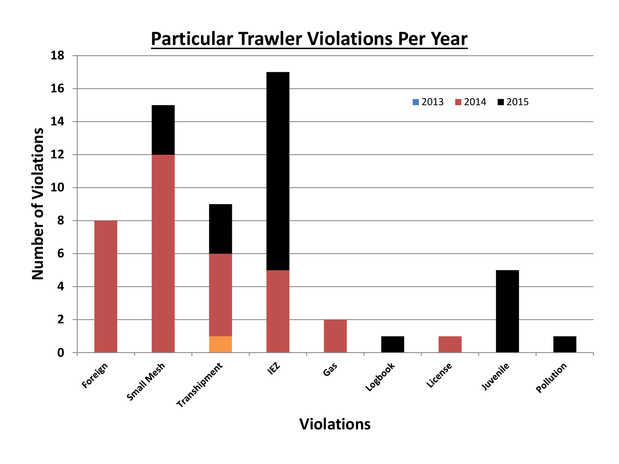

#### **Particular Trawler Violations Per Year**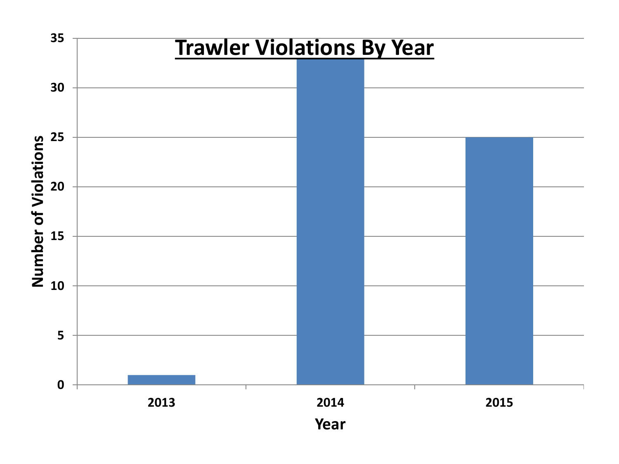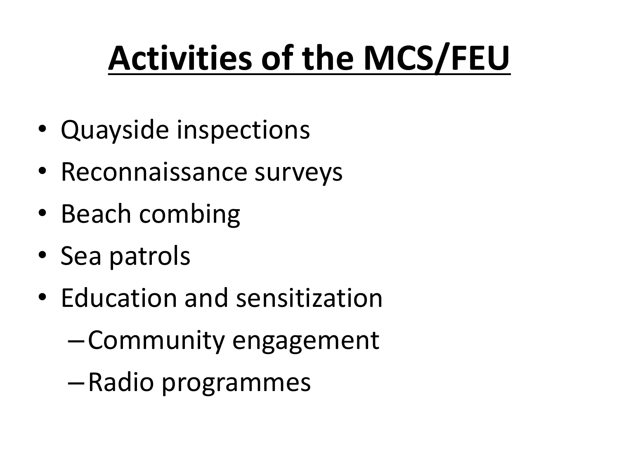# **Activities of the MCS/FEU**

- Quayside inspections
- Reconnaissance surveys
- Beach combing
- Sea patrols
- Education and sensitization
	- –Community engagement
	- –Radio programmes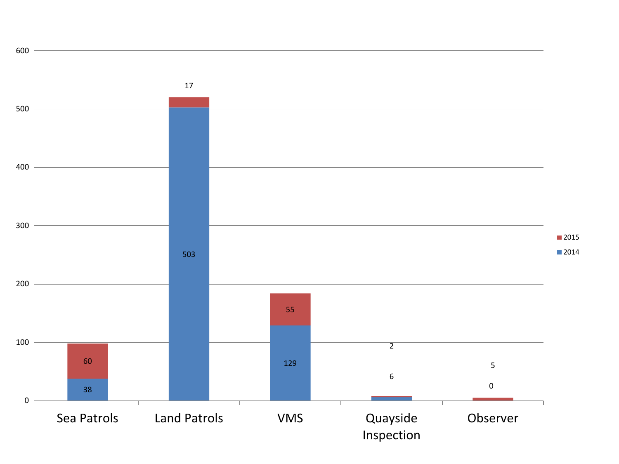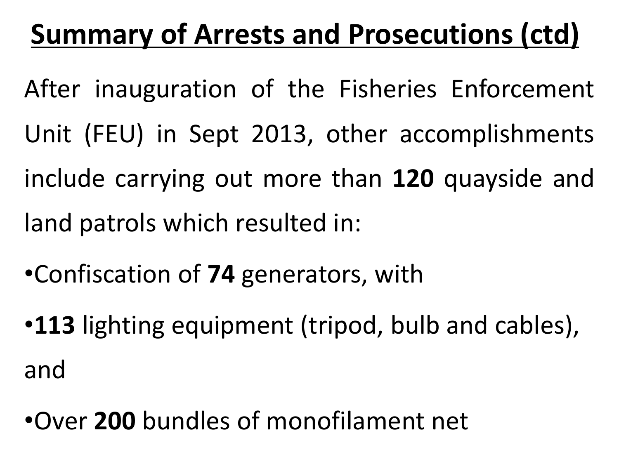### **Summary of Arrests and Prosecutions (ctd)**

- After inauguration of the Fisheries Enforcement Unit (FEU) in Sept 2013, other accomplishments include carrying out more than **120** quayside and land patrols which resulted in:
- •Confiscation of **74** generators, with
- •**113** lighting equipment (tripod, bulb and cables), and
- •Over **200** bundles of monofilament net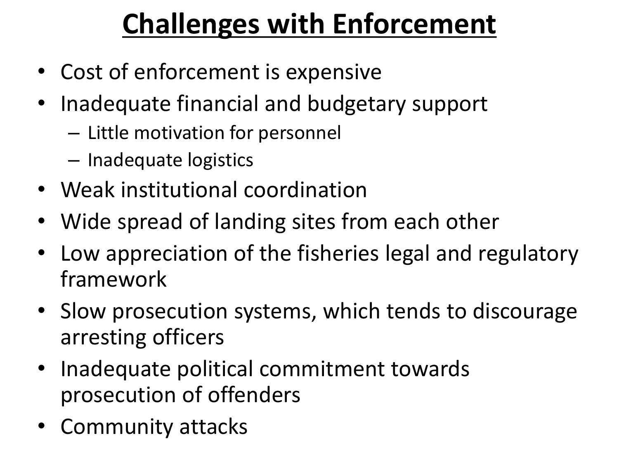## **Challenges with Enforcement**

- Cost of enforcement is expensive
- Inadequate financial and budgetary support
	- Little motivation for personnel
	- Inadequate logistics
- Weak institutional coordination
- Wide spread of landing sites from each other
- Low appreciation of the fisheries legal and regulatory framework
- Slow prosecution systems, which tends to discourage arresting officers
- Inadequate political commitment towards prosecution of offenders
- Community attacks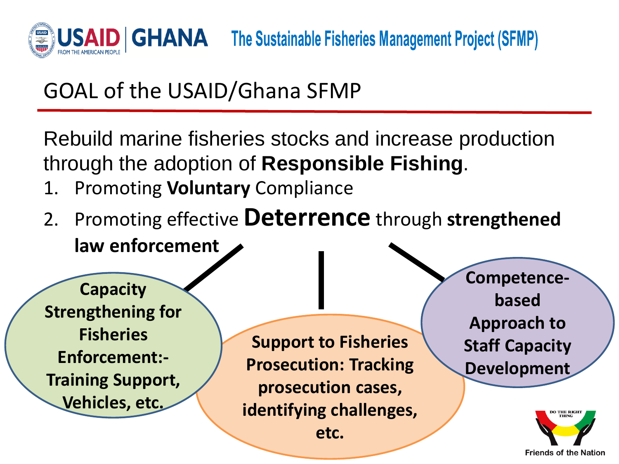

The Sustainable Fisheries Management Project (SFMP)

#### GOAL of the USAID/Ghana SFMP

Rebuild marine fisheries stocks and increase production through the adoption of **Responsible Fishing**.

- 1. Promoting **Voluntary** Compliance
- 2. Promoting effective **Deterrence** through **strengthened law enforcement**

**Capacity Strengthening for Fisheries Enforcement:- Training Support, Vehicles, etc.**

**Support to Fisheries Prosecution: Tracking prosecution cases, identifying challenges, etc.**

**Competencebased Approach to Staff Capacity Development**

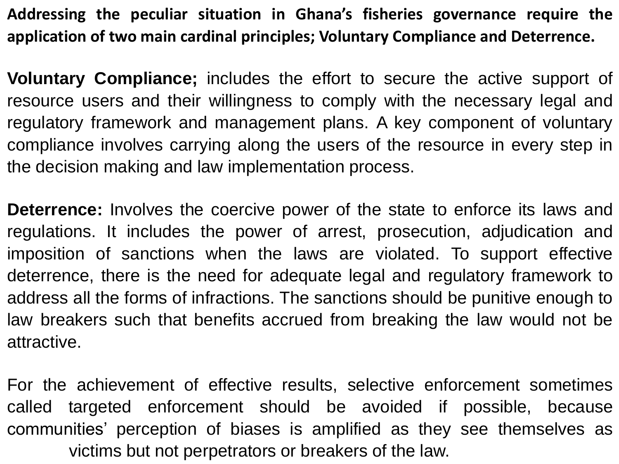**Addressing the peculiar situation in Ghana's fisheries governance require the application of two main cardinal principles; Voluntary Compliance and Deterrence.**

**Voluntary Compliance;** includes the effort to secure the active support of resource users and their willingness to comply with the necessary legal and regulatory framework and management plans. A key component of voluntary compliance involves carrying along the users of the resource in every step in the decision making and law implementation process.

**Deterrence:** Involves the coercive power of the state to enforce its laws and regulations. It includes the power of arrest, prosecution, adjudication and imposition of sanctions when the laws are violated. To support effective deterrence, there is the need for adequate legal and regulatory framework to address all the forms of infractions. The sanctions should be punitive enough to law breakers such that benefits accrued from breaking the law would not be attractive.

For the achievement of effective results, selective enforcement sometimes called targeted enforcement should be avoided if possible, because communities' perception of biases is amplified as they see themselves as victims but not perpetrators or breakers of the law.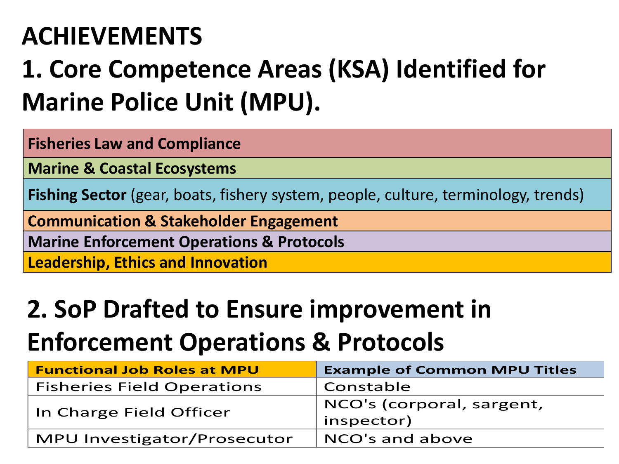### **ACHIEVEMENTS**

### **1. Core Competence Areas (KSA) Identified for Marine Police Unit (MPU).**

**Fisheries Law and Compliance**

**Marine & Coastal Ecosystems**

**Fishing Sector** (gear, boats, fishery system, people, culture, terminology, trends)

**Communication & Stakeholder Engagement**

**Marine Enforcement Operations & Protocols**

**Leadership, Ethics and Innovation**

#### **2. SoP Drafted to Ensure improvement in Enforcement Operations & Protocols**

| <b>Functional Job Roles at MPU</b> | <b>Example of Common MPU Titles</b> |
|------------------------------------|-------------------------------------|
| <b>Fisheries Field Operations</b>  | Constable                           |
| In Charge Field Officer            | NCO's (corporal, sargent,           |
|                                    | inspector)                          |
| MPU Investigator/Prosecutor        | NCO's and above                     |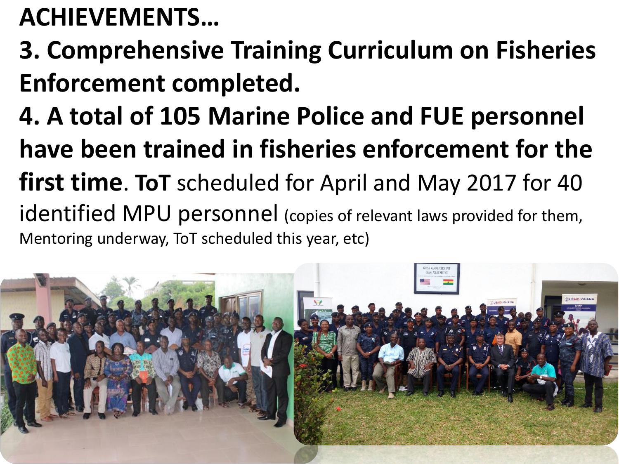### **ACHIEVEMENTS…**

- **3. Comprehensive Training Curriculum on Fisheries Enforcement completed.**
- **4. A total of 105 Marine Police and FUE personnel have been trained in fisheries enforcement for the first time**. **ToT** scheduled for April and May 2017 for 40 identified MPU personnel (copies of relevant laws provided for them, Mentoring underway, ToT scheduled this year, etc)

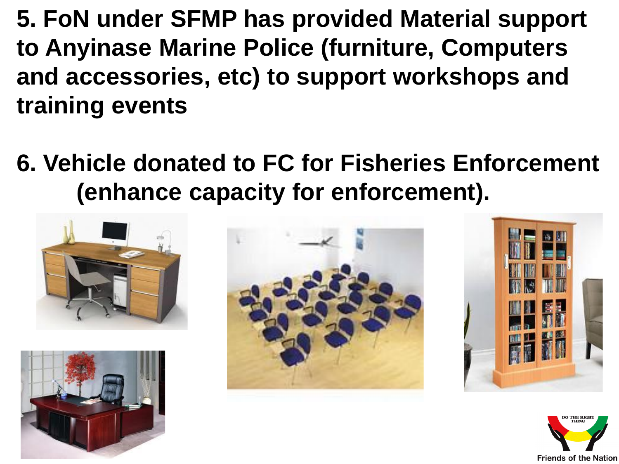**5. FoN under SFMP has provided Material support to Anyinase Marine Police (furniture, Computers and accessories, etc) to support workshops and training events**

### **6. Vehicle donated to FC for Fisheries Enforcement (enhance capacity for enforcement).**









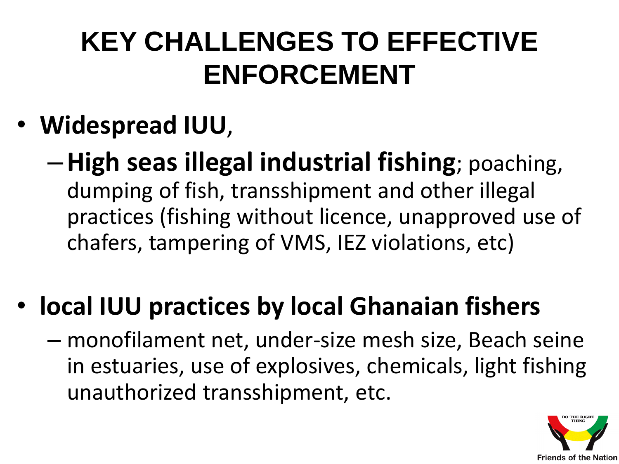### **KEY CHALLENGES TO EFFECTIVE ENFORCEMENT**

- **Widespread IUU**,
	- –**High seas illegal industrial fishing**; poaching, dumping of fish, transshipment and other illegal practices (fishing without licence, unapproved use of chafers, tampering of VMS, IEZ violations, etc)
- **local IUU practices by local Ghanaian fishers** 
	- monofilament net, under-size mesh size, Beach seine in estuaries, use of explosives, chemicals, light fishing unauthorized transshipment, etc.

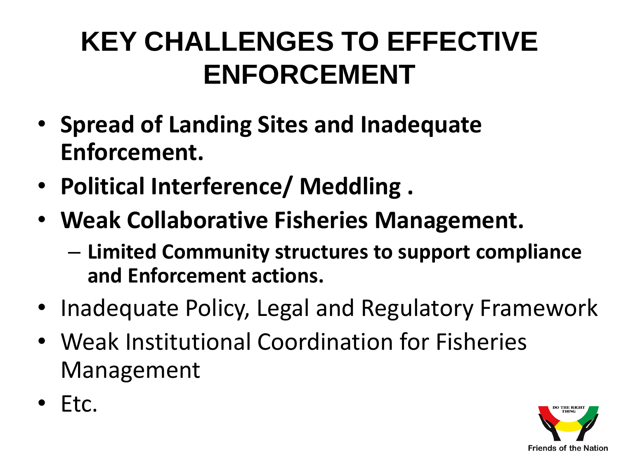### **KEY CHALLENGES TO EFFECTIVE ENFORCEMENT**

- **Spread of Landing Sites and Inadequate Enforcement.**
- **Political Interference/ Meddling .**
- **Weak Collaborative Fisheries Management.**
	- **Limited Community structures to support compliance and Enforcement actions.**
- Inadequate Policy, Legal and Regulatory Framework
- Weak Institutional Coordination for Fisheries Management
- Etc.

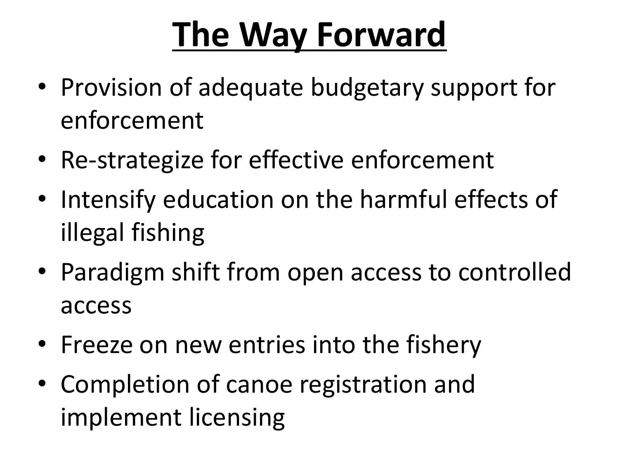# **The Way Forward**

- Provision of adequate budgetary support for enforcement
- Re-strategize for effective enforcement
- Intensify education on the harmful effects of illegal fishing
- Paradigm shift from open access to controlled access
- Freeze on new entries into the fishery
- Completion of canoe registration and implement licensing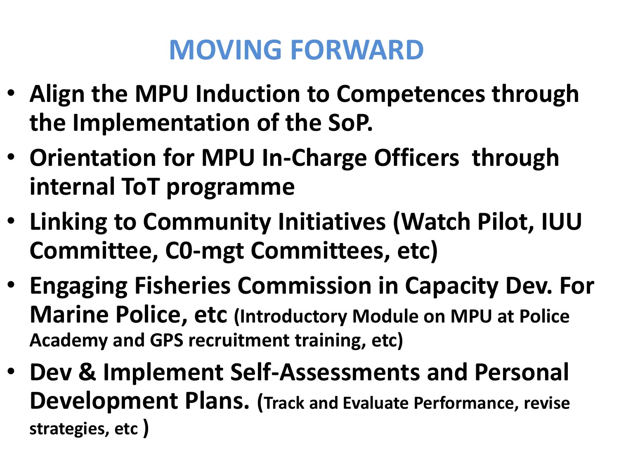### **MOVING FORWARD**

- **Align the MPU Induction to Competences through the Implementation of the SoP.**
- **Orientation for MPU In-Charge Officers through internal ToT programme**
- **Linking to Community Initiatives (Watch Pilot, IUU Committee, C0-mgt Committees, etc)**
- **Engaging Fisheries Commission in Capacity Dev. For Marine Police, etc (Introductory Module on MPU at Police Academy and GPS recruitment training, etc)**
- **Dev & Implement Self-Assessments and Personal Development Plans. (Track and Evaluate Performance, revise strategies, etc )**